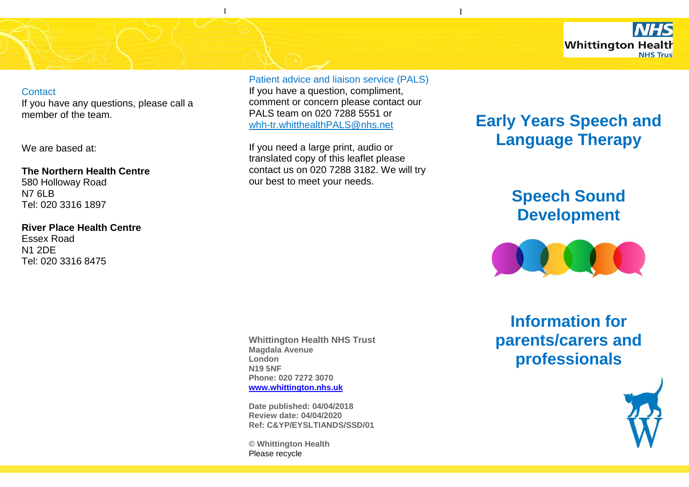

#### **Contact**

If you have any questions, please call a member of the team.

We are based at:

**The Northern Health Centre**  580 Holloway Road N7 6LB Tel: 020 3316 1897

**River Place Health Centre** Essex Road N1 2DE

Tel: 020 3316 8475

Patient advice and liaison service (PALS)

I

v

If you have a question, compliment, comment or concern please contact our PALS team on 020 7288 5551 or [whh-tr.whitthealthPALS@nhs.net](mailto:whh-tr.whitthealthPALS@nhs.net)

If you need a large print, audio or translated copy of this leaflet please contact us on 020 7288 3182. We will try our best to meet your needs.

**Whittington Health NHS Trust Magdala Avenue London N19 5NF Phone: 020 7272 3070 [www.whittington.nhs.uk](http://www.whittington.nhs.uk/)**

**Date published: 04/04/2018 Review date: 04/04/2020 Ref: C&YP/EYSLTIANDS/SSD/01**

**© Whittington Health** Please recycle

# **Early Years Speech and Language Therapy**

I

# **Speech Sound Development**



**Information for parents/carers and professionals**